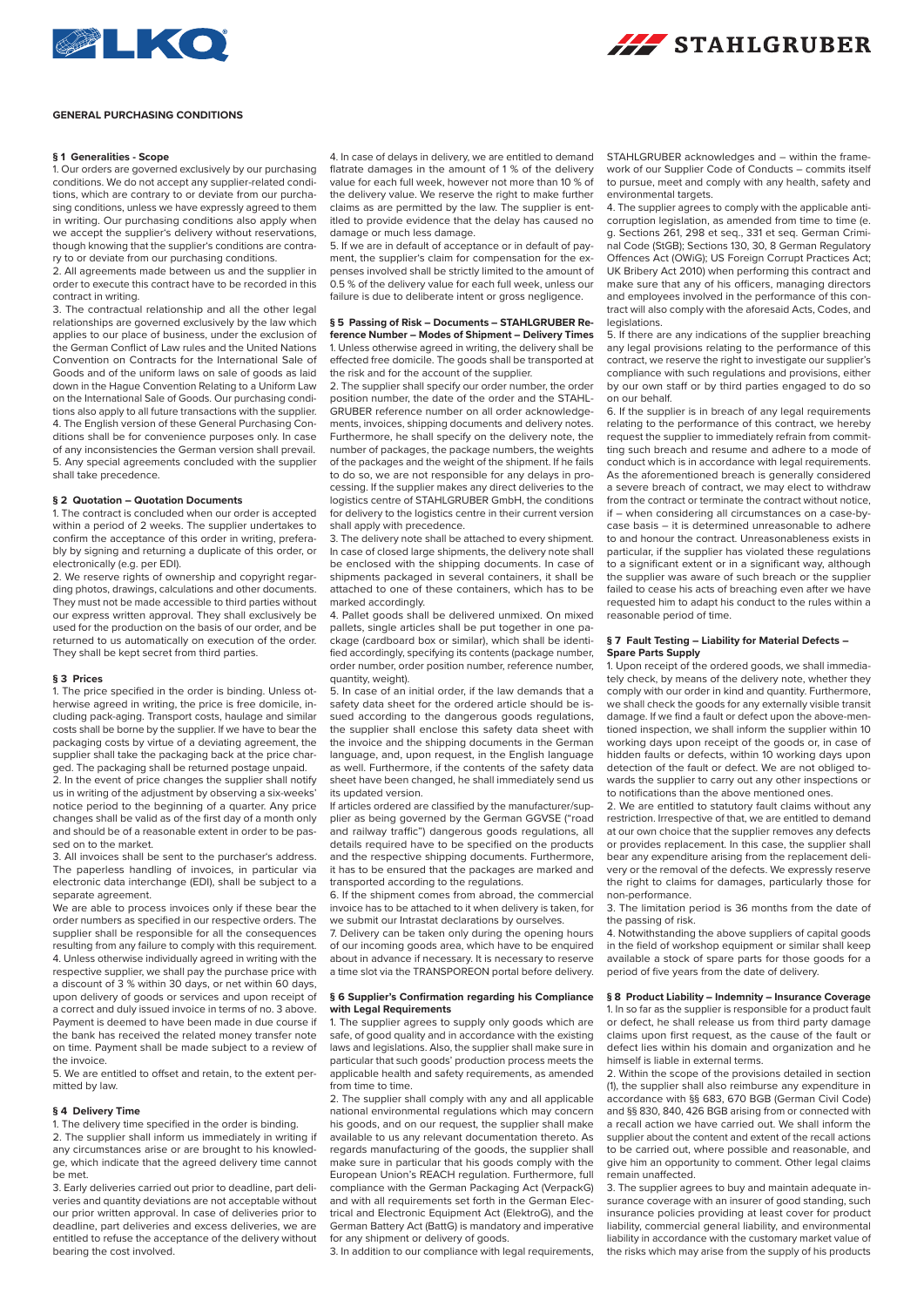



### **GENERAL PURCHASING CONDITIONS**

## **§ 1 Generalities - Scope**

1. Our orders are governed exclusively by our purchasing conditions. We do not accept any supplier-related conditions, which are contrary to or deviate from our purchasing conditions, unless we have expressly agreed to them in writing. Our purchasing conditions also apply when we accept the supplier's delivery without reservations though knowing that the supplier's conditions are contrary to or deviate from our purchasing conditions.

2. All agreements made between us and the supplier in order to execute this contract have to be recorded in this contract in writing.

3. The contractual relationship and all the other legal relationships are governed exclusively by the law which applies to our place of business, under the exclusion of the German Conflict of Law rules and the United Nations Convention on Contracts for the International Sale of Goods and of the uniform laws on sale of goods as laid down in the Hague Convention Relating to a Uniform Law on the International Sale of Goods. Our purchasing conditions also apply to all future transactions with the supplier. 4. The English version of these General Purchasing Conditions shall be for convenience purposes only. In case of any inconsistencies the German version shall prevail. 5. Any special agreements concluded with the supplier shall take precedence.

## **§ 2 Quotation – Quotation Documents**

1. The contract is concluded when our order is accepted within a period of 2 weeks. The supplier undertakes to confirm the acceptance of this order in writing, preferably by signing and returning a duplicate of this order, or electronically (e.g. per EDI).

2. We reserve rights of ownership and copyright regarding photos, drawings, calculations and other documents. They must not be made accessible to third parties without our express written approval. They shall exclusively be used for the production on the basis of our order, and be returned to us automatically on execution of the order. They shall be kept secret from third parties.

## **§ 3 Prices**

1. The price specified in the order is binding. Unless otherwise agreed in writing, the price is free domicile, including pack-aging. Transport costs, haulage and similar costs shall be borne by the supplier. If we have to bear the packaging costs by virtue of a deviating agreement, the supplier shall take the packaging back at the price charged. The packaging shall be returned postage unpaid.

2. In the event of price changes the supplier shall notify us in writing of the adjustment by observing a six-weeks' notice period to the beginning of a quarter. Any price changes shall be valid as of the first day of a month only and should be of a reasonable extent in order to be passed on to the market.

3. All invoices shall be sent to the purchaser's address. The paperless handling of invoices, in particular via electronic data interchange (EDI), shall be subject to a separate agreement.

We are able to process invoices only if these bear the order numbers as specified in our respective orders. The supplier shall be responsible for all the consequences resulting from any failure to comply with this requirement. 4. Unless otherwise individually agreed in writing with the respective supplier, we shall pay the purchase price with a discount of 3 % within 30 days, or net within 60 days, upon delivery of goods or services and upon receipt of a correct and duly issued invoice in terms of no. 3 above. Payment is deemed to have been made in due course if the bank has received the related money transfer note on time. Payment shall be made subject to a review of the invoice.

5. We are entitled to offset and retain, to the extent permitted by law.

## **§ 4 Delivery Time**

1. The delivery time specified in the order is binding. 2. The supplier shall inform us immediately in writing if any circumstances arise or are brought to his knowledge, which indicate that the agreed delivery time cannot be met.

3. Early deliveries carried out prior to deadline, part deliveries and quantity deviations are not acceptable without our prior written approval. In case of deliveries prior to deadline, part deliveries and excess deliveries, we are entitled to refuse the acceptance of the delivery without bearing the cost involved.

4. In case of delays in delivery, we are entitled to demand flatrate damages in the amount of 1 % of the delivery value for each full week, however not more than 10 % of the delivery value. We reserve the right to make further claims as are permitted by the law. The supplier is entitled to provide evidence that the delay has caused no damage or much less damage.

5. If we are in default of acceptance or in default of payment, the supplier's claim for compensation for the expenses involved shall be strictly limited to the amount of 0.5 % of the delivery value for each full week, unless our failure is due to deliberate intent or gross negligence.

### **§ 5 Passing of Risk – Documents – STAHLGRUBER Re-**

**ference Number – Modes of Shipment – Delivery Times** 1. Unless otherwise agreed in writing, the delivery shall be effected free domicile. The goods shall be transported at the risk and for the account of the supplier.

2. The supplier shall specify our order number, the order position number, the date of the order and the STAHL-GRUBER reference number on all order acknowledgements, invoices, shipping documents and delivery notes. Furthermore, he shall specify on the delivery note, the number of packages, the package numbers, the weights of the packages and the weight of the shipment. If he fails to do so, we are not responsible for any delays in processing. If the supplier makes any direct deliveries to the logistics centre of STAHLGRUBER GmbH, the conditions for delivery to the logistics centre in their current version shall apply with precedence.

3. The delivery note shall be attached to every shipment. In case of closed large shipments, the delivery note shall be enclosed with the shipping documents. In case of shipments packaged in several containers, it shall be attached to one of these containers, which has to be marked accordingly.

4. Pallet goods shall be delivered unmixed. On mixed pallets, single articles shall be put together in one package (cardboard box or similar), which shall be identified accordingly, specifying its contents (package number, order number, order position number, reference number, quantity, weight).

5. In case of an initial order, if the law demands that a safety data sheet for the ordered article should be issued according to the dangerous goods regulations, the supplier shall enclose this safety data sheet with the invoice and the shipping documents in the German language, and, upon request, in the English language as well. Furthermore, if the contents of the safety data sheet have been changed, he shall immediately send us its updated version.

If articles ordered are classified by the manufacturer/supplier as being governed by the German GGVSE ("road and railway traffic") dangerous goods regulations, all details required have to be specified on the products and the respective shipping documents. Furthermore, it has to be ensured that the packages are marked and transported according to the regulations.

6. If the shipment comes from abroad, the commercial invoice has to be attached to it when delivery is taken, for we submit our Intrastat declarations by ourselves.

7. Delivery can be taken only during the opening hours of our incoming goods area, which have to be enquired about in advance if necessary. It is necessary to reserve a time slot via the TRANSPOREON portal before delivery.

### **§ 6 Supplier's Confirmation regarding his Compliance with Legal Requirements**

1. The supplier agrees to supply only goods which are safe, of good quality and in accordance with the existing laws and legislations. Also, the supplier shall make sure in particular that such goods' production process meets the applicable health and safety requirements, as amended from time to time.

2. The supplier shall comply with any and all applicable national environmental regulations which may concern his goods, and on our request, the supplier shall make available to us any relevant documentation thereto. As regards manufacturing of the goods, the supplier shall make sure in particular that his goods comply with the European Union's REACH regulation. Furthermore, full compliance with the German Packaging Act (VerpackG) and with all requirements set forth in the German Electrical and Electronic Equipment Act (ElektroG), and the German Battery Act (BattG) is mandatory and imperative for any shipment or delivery of goods.

3. In addition to our compliance with legal requirements,

STAHLGRUBER acknowledges and – within the framework of our Supplier Code of Conducts – commits itself to pursue, meet and comply with any health, safety and environmental targets.

4. The supplier agrees to comply with the applicable anticorruption legislation, as amended from time to time (e. g. Sections 261, 298 et seq., 331 et seq. German Criminal Code (StGB); Sections 130, 30, 8 German Regulatory Offences Act (OWiG); US Foreign Corrupt Practices Act; UK Bribery Act 2010) when performing this contract and make sure that any of his officers, managing directors and employees involved in the performance of this contract will also comply with the aforesaid Acts, Codes, and legislations.

5. If there are any indications of the supplier breaching any legal provisions relating to the performance of this contract, we reserve the right to investigate our supplier's compliance with such regulations and provisions, either by our own staff or by third parties engaged to do so on our behalf.

6. If the supplier is in breach of any legal requirements relating to the performance of this contract, we hereby request the supplier to immediately refrain from committing such breach and resume and adhere to a mode of conduct which is in accordance with legal requirements. As the aforementioned breach is generally considered a severe breach of contract, we may elect to withdraw from the contract or terminate the contract without notice, if – when considering all circumstances on a case-bycase basis – it is determined unreasonable to adhere to and honour the contract. Unreasonableness exists in particular, if the supplier has violated these regulations to a significant extent or in a significant way, although the supplier was aware of such breach or the supplier failed to cease his acts of breaching even after we have requested him to adapt his conduct to the rules within a reasonable period of time.

### **§ 7 Fault Testing – Liability for Material Defects – Spare Parts Supply**

1. Upon receipt of the ordered goods, we shall immediately check, by means of the delivery note, whether they comply with our order in kind and quantity. Furthermore, we shall check the goods for any externally visible transit damage. If we find a fault or defect upon the above-mentioned inspection, we shall inform the supplier within 10 working days upon receipt of the goods or, in case of hidden faults or defects, within 10 working days upon detection of the fault or defect. We are not obliged towards the supplier to carry out any other inspections or to notifications than the above mentioned ones.

2. We are entitled to statutory fault claims without any restriction. Irrespective of that, we are entitled to demand at our own choice that the supplier removes any defects or provides replacement. In this case, the supplier shall bear any expenditure arising from the replacement delivery or the removal of the defects. We expressly reserve the right to claims for damages, particularly those for non-performance.

3. The limitation period is 36 months from the date of the passing of risk.

4. Notwithstanding the above suppliers of capital goods in the field of workshop equipment or similar shall keep available a stock of spare parts for those goods for a period of five years from the date of delivery.

# **§ 8 Product Liability – Indemnity – Insurance Coverage**

1. In so far as the supplier is responsible for a product fault or defect, he shall release us from third party damage claims upon first request, as the cause of the fault or defect lies within his domain and organization and he himself is liable in external terms.

2. Within the scope of the provisions detailed in section (1), the supplier shall also reimburse any expenditure in accordance with §§ 683, 670 BGB (German Civil Code) and §§ 830, 840, 426 BGB arising from or connected with a recall action we have carried out. We shall inform the supplier about the content and extent of the recall actions to be carried out, where possible and reasonable, and give him an opportunity to comment. Other legal claims remain unaffected.

3. The supplier agrees to buy and maintain adequate insurance coverage with an insurer of good standing, such insurance policies providing at least cover for product liability, commercial general liability, and environmental liability in accordance with the customary market value of the risks which may arise from the supply of his products